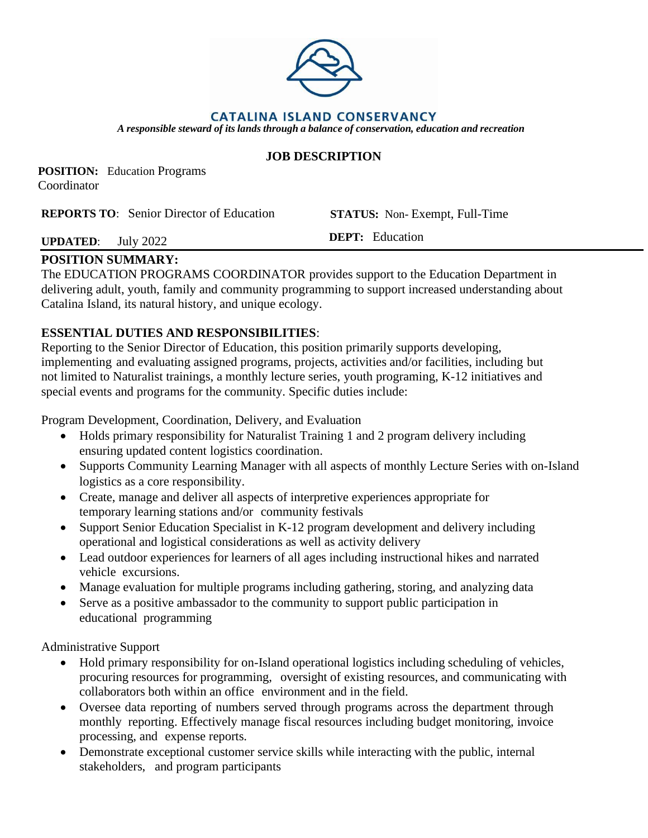

**POSITION:** Education Programs Coordinator

**REPORTS TO**: Senior Director of Education **STATUS:** Non- Exempt, Full-Time

## **UPDATED**: July 2022 **DEPT:** Education

### **POSITION SUMMARY:**

The EDUCATION PROGRAMS COORDINATOR provides support to the Education Department in delivering adult, youth, family and community programming to support increased understanding about Catalina Island, its natural history, and unique ecology.

#### **ESSENTIAL DUTIES AND RESPONSIBILITIES**:

Reporting to the Senior Director of Education, this position primarily supports developing, implementing and evaluating assigned programs, projects, activities and/or facilities, including but not limited to Naturalist trainings, a monthly lecture series, youth programing, K-12 initiatives and special events and programs for the community. Specific duties include:

Program Development, Coordination, Delivery, and Evaluation

- Holds primary responsibility for Naturalist Training 1 and 2 program delivery including ensuring updated content logistics coordination.
- Supports Community Learning Manager with all aspects of monthly Lecture Series with on-Island logistics as a core responsibility.
- Create, manage and deliver all aspects of interpretive experiences appropriate for temporary learning stations and/or community festivals
- Support Senior Education Specialist in K-12 program development and delivery including operational and logistical considerations as well as activity delivery
- Lead outdoor experiences for learners of all ages including instructional hikes and narrated vehicle excursions.
- Manage evaluation for multiple programs including gathering, storing, and analyzing data
- Serve as a positive ambassador to the community to support public participation in educational programming

Administrative Support

- Hold primary responsibility for on-Island operational logistics including scheduling of vehicles, procuring resources for programming, oversight of existing resources, and communicating with collaborators both within an office environment and in the field.
- Oversee data reporting of numbers served through programs across the department through monthly reporting. Effectively manage fiscal resources including budget monitoring, invoice processing, and expense reports.
- Demonstrate exceptional customer service skills while interacting with the public, internal stakeholders, and program participants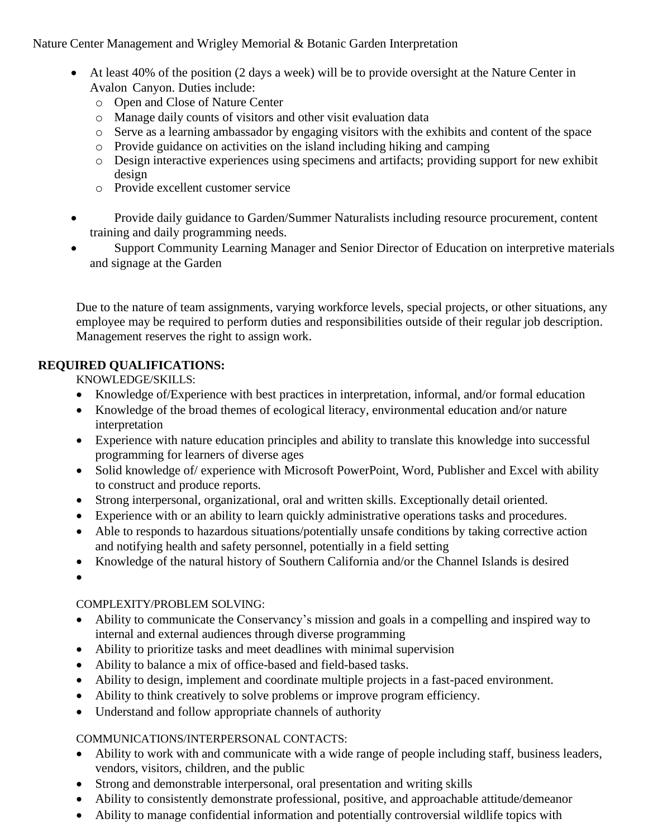Nature Center Management and Wrigley Memorial & Botanic Garden Interpretation

- At least 40% of the position (2 days a week) will be to provide oversight at the Nature Center in Avalon Canyon. Duties include:
	- o Open and Close of Nature Center
	- o Manage daily counts of visitors and other visit evaluation data
	- o Serve as a learning ambassador by engaging visitors with the exhibits and content of the space
	- o Provide guidance on activities on the island including hiking and camping
	- o Design interactive experiences using specimens and artifacts; providing support for new exhibit design
	- o Provide excellent customer service
- Provide daily guidance to Garden/Summer Naturalists including resource procurement, content training and daily programming needs.
- Support Community Learning Manager and Senior Director of Education on interpretive materials and signage at the Garden

Due to the nature of team assignments, varying workforce levels, special projects, or other situations, any employee may be required to perform duties and responsibilities outside of their regular job description. Management reserves the right to assign work.

#### **REQUIRED QUALIFICATIONS:**

KNOWLEDGE/SKILLS:

- Knowledge of/Experience with best practices in interpretation, informal, and/or formal education
- Knowledge of the broad themes of ecological literacy, environmental education and/or nature interpretation
- Experience with nature education principles and ability to translate this knowledge into successful programming for learners of diverse ages
- Solid knowledge of/ experience with Microsoft PowerPoint, Word, Publisher and Excel with ability to construct and produce reports.
- Strong interpersonal, organizational, oral and written skills. Exceptionally detail oriented.
- Experience with or an ability to learn quickly administrative operations tasks and procedures.
- Able to responds to hazardous situations/potentially unsafe conditions by taking corrective action and notifying health and safety personnel, potentially in a field setting
- Knowledge of the natural history of Southern California and/or the Channel Islands is desired

•

#### COMPLEXITY/PROBLEM SOLVING:

- Ability to communicate the Conservancy's mission and goals in a compelling and inspired way to internal and external audiences through diverse programming
- Ability to prioritize tasks and meet deadlines with minimal supervision
- Ability to balance a mix of office-based and field-based tasks.
- Ability to design, implement and coordinate multiple projects in a fast-paced environment.
- Ability to think creatively to solve problems or improve program efficiency.
- Understand and follow appropriate channels of authority

#### COMMUNICATIONS/INTERPERSONAL CONTACTS:

- Ability to work with and communicate with a wide range of people including staff, business leaders, vendors, visitors, children, and the public
- Strong and demonstrable interpersonal, oral presentation and writing skills
- Ability to consistently demonstrate professional, positive, and approachable attitude/demeanor
- Ability to manage confidential information and potentially controversial wildlife topics with